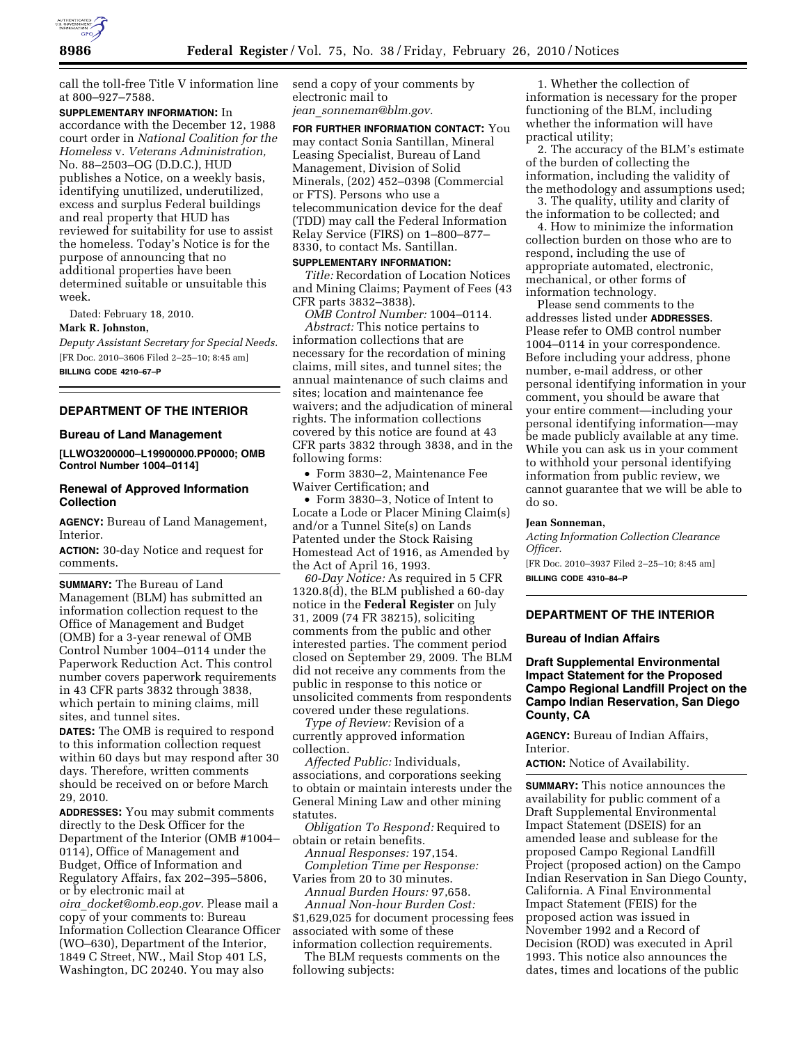

call the toll-free Title V information line at 800–927–7588.

**SUPPLEMENTARY INFORMATION:** In accordance with the December 12, 1988 court order in *National Coalition for the Homeless* v. *Veterans Administration,*  No. 88–2503–OG (D.D.C.), HUD publishes a Notice, on a weekly basis, identifying unutilized, underutilized, excess and surplus Federal buildings and real property that HUD has reviewed for suitability for use to assist the homeless. Today's Notice is for the purpose of announcing that no additional properties have been determined suitable or unsuitable this week.

Dated: February 18, 2010.

#### **Mark R. Johnston,**

*Deputy Assistant Secretary for Special Needs.*  [FR Doc. 2010–3606 Filed 2–25–10; 8:45 am] **BILLING CODE 4210–67–P** 

# **DEPARTMENT OF THE INTERIOR**

### **Bureau of Land Management**

**[LLWO3200000–L19900000.PP0000; OMB Control Number 1004–0114]** 

### **Renewal of Approved Information Collection**

**AGENCY:** Bureau of Land Management, Interior.

**ACTION:** 30-day Notice and request for comments.

**SUMMARY:** The Bureau of Land Management (BLM) has submitted an information collection request to the Office of Management and Budget (OMB) for a 3-year renewal of OMB Control Number 1004–0114 under the Paperwork Reduction Act. This control number covers paperwork requirements in 43 CFR parts 3832 through 3838, which pertain to mining claims, mill sites, and tunnel sites.

**DATES:** The OMB is required to respond to this information collection request within 60 days but may respond after 30 days. Therefore, written comments should be received on or before March 29, 2010.

**ADDRESSES:** You may submit comments directly to the Desk Officer for the Department of the Interior (OMB #1004– 0114), Office of Management and Budget, Office of Information and Regulatory Affairs, fax 202–395–5806, or by electronic mail at

*oira*\_*docket@omb.eop.gov.* Please mail a copy of your comments to: Bureau Information Collection Clearance Officer (WO–630), Department of the Interior, 1849 C Street, NW., Mail Stop 401 LS, Washington, DC 20240. You may also

send a copy of your comments by electronic mail to *jean*\_*sonneman@blm.gov.* 

**FOR FURTHER INFORMATION CONTACT:** You may contact Sonia Santillan, Mineral Leasing Specialist, Bureau of Land Management, Division of Solid Minerals, (202) 452–0398 (Commercial or FTS). Persons who use a telecommunication device for the deaf (TDD) may call the Federal Information Relay Service (FIRS) on 1–800–877– 8330, to contact Ms. Santillan.

### **SUPPLEMENTARY INFORMATION:**

*Title:* Recordation of Location Notices and Mining Claims; Payment of Fees (43 CFR parts 3832–3838).

*OMB Control Number:* 1004–0114.

*Abstract:* This notice pertains to information collections that are necessary for the recordation of mining claims, mill sites, and tunnel sites; the annual maintenance of such claims and sites; location and maintenance fee waivers; and the adjudication of mineral rights. The information collections covered by this notice are found at 43 CFR parts 3832 through 3838, and in the following forms:

• Form 3830–2, Maintenance Fee Waiver Certification; and

• Form 3830–3, Notice of Intent to Locate a Lode or Placer Mining Claim(s) and/or a Tunnel Site(s) on Lands Patented under the Stock Raising Homestead Act of 1916, as Amended by the Act of April 16, 1993.

*60-Day Notice:* As required in 5 CFR 1320.8(d), the BLM published a 60-day notice in the **Federal Register** on July 31, 2009 (74 FR 38215), soliciting comments from the public and other interested parties. The comment period closed on September 29, 2009. The BLM did not receive any comments from the public in response to this notice or unsolicited comments from respondents covered under these regulations.

*Type of Review:* Revision of a currently approved information collection.

*Affected Public:* Individuals, associations, and corporations seeking to obtain or maintain interests under the General Mining Law and other mining statutes.

*Obligation To Respond:* Required to obtain or retain benefits.

*Annual Responses:* 197,154. *Completion Time per Response:*  Varies from 20 to 30 minutes.

*Annual Burden Hours:* 97,658.

*Annual Non-hour Burden Cost:*  \$1,629,025 for document processing fees associated with some of these information collection requirements.

The BLM requests comments on the following subjects:

1. Whether the collection of information is necessary for the proper functioning of the BLM, including whether the information will have practical utility;

2. The accuracy of the BLM's estimate of the burden of collecting the information, including the validity of the methodology and assumptions used;

3. The quality, utility and clarity of the information to be collected; and

4. How to minimize the information collection burden on those who are to respond, including the use of appropriate automated, electronic, mechanical, or other forms of information technology.

Please send comments to the addresses listed under **ADDRESSES**. Please refer to OMB control number 1004–0114 in your correspondence. Before including your address, phone number, e-mail address, or other personal identifying information in your comment, you should be aware that your entire comment—including your personal identifying information—may be made publicly available at any time. While you can ask us in your comment to withhold your personal identifying information from public review, we cannot guarantee that we will be able to do so.

#### **Jean Sonneman,**

*Acting Information Collection Clearance Officer.*  [FR Doc. 2010–3937 Filed 2–25–10; 8:45 am]

**BILLING CODE 4310–84–P** 

# **DEPARTMENT OF THE INTERIOR**

#### **Bureau of Indian Affairs**

# **Draft Supplemental Environmental Impact Statement for the Proposed Campo Regional Landfill Project on the Campo Indian Reservation, San Diego County, CA**

**AGENCY:** Bureau of Indian Affairs, Interior.

**ACTION:** Notice of Availability.

**SUMMARY:** This notice announces the availability for public comment of a Draft Supplemental Environmental Impact Statement (DSEIS) for an amended lease and sublease for the proposed Campo Regional Landfill Project (proposed action) on the Campo Indian Reservation in San Diego County, California. A Final Environmental Impact Statement (FEIS) for the proposed action was issued in November 1992 and a Record of Decision (ROD) was executed in April 1993. This notice also announces the dates, times and locations of the public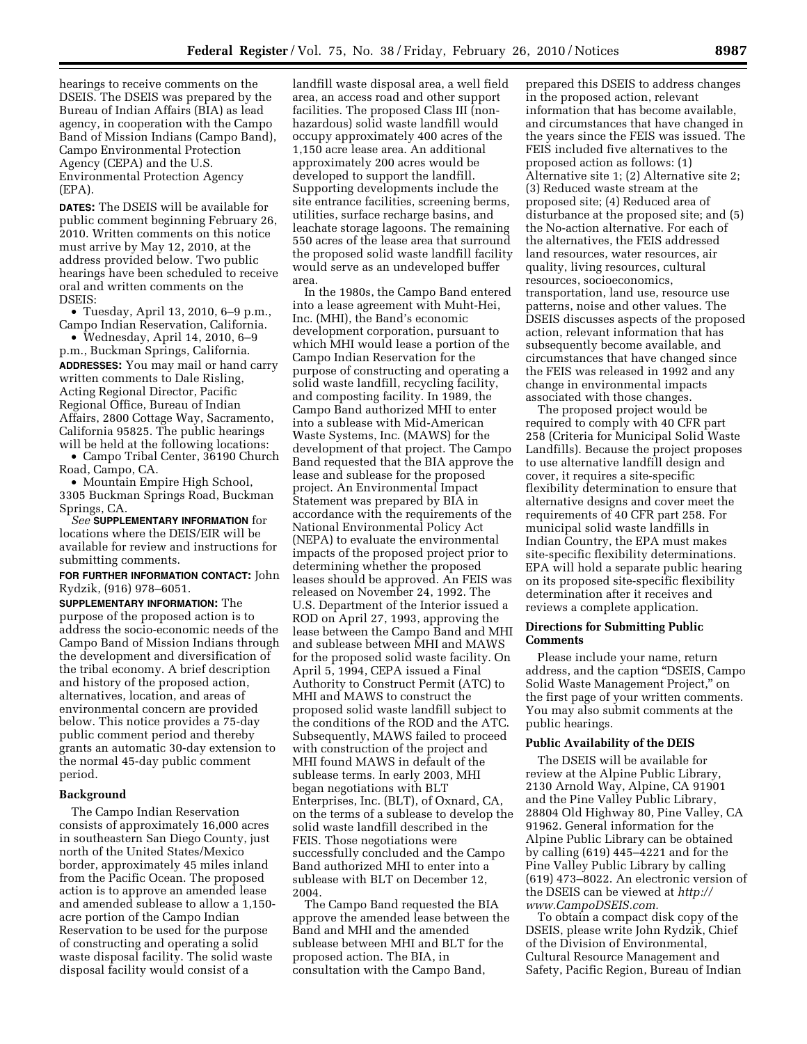hearings to receive comments on the DSEIS. The DSEIS was prepared by the Bureau of Indian Affairs (BIA) as lead agency, in cooperation with the Campo Band of Mission Indians (Campo Band), Campo Environmental Protection Agency (CEPA) and the U.S. Environmental Protection Agency (EPA).

**DATES:** The DSEIS will be available for public comment beginning February 26, 2010. Written comments on this notice must arrive by May 12, 2010, at the address provided below. Two public hearings have been scheduled to receive oral and written comments on the DSEIS:

• Tuesday, April 13, 2010, 6–9 p.m., Campo Indian Reservation, California.

• Wednesday, April 14, 2010, 6–9 p.m., Buckman Springs, California. **ADDRESSES:** You may mail or hand carry written comments to Dale Risling, Acting Regional Director, Pacific Regional Office, Bureau of Indian Affairs, 2800 Cottage Way, Sacramento, California 95825. The public hearings will be held at the following locations:

• Campo Tribal Center, 36190 Church Road, Campo, CA.

• Mountain Empire High School, 3305 Buckman Springs Road, Buckman Springs, CA.

*See* **SUPPLEMENTARY INFORMATION** for locations where the DEIS/EIR will be available for review and instructions for submitting comments.

### **FOR FURTHER INFORMATION CONTACT:** John Rydzik, (916) 978–6051.

**SUPPLEMENTARY INFORMATION:** The purpose of the proposed action is to address the socio-economic needs of the Campo Band of Mission Indians through the development and diversification of the tribal economy. A brief description and history of the proposed action, alternatives, location, and areas of environmental concern are provided below. This notice provides a 75-day public comment period and thereby grants an automatic 30-day extension to the normal 45-day public comment period.

### **Background**

The Campo Indian Reservation consists of approximately 16,000 acres in southeastern San Diego County, just north of the United States/Mexico border, approximately 45 miles inland from the Pacific Ocean. The proposed action is to approve an amended lease and amended sublease to allow a 1,150 acre portion of the Campo Indian Reservation to be used for the purpose of constructing and operating a solid waste disposal facility. The solid waste disposal facility would consist of a

landfill waste disposal area, a well field area, an access road and other support facilities. The proposed Class III (nonhazardous) solid waste landfill would occupy approximately 400 acres of the 1,150 acre lease area. An additional approximately 200 acres would be developed to support the landfill. Supporting developments include the site entrance facilities, screening berms, utilities, surface recharge basins, and leachate storage lagoons. The remaining 550 acres of the lease area that surround the proposed solid waste landfill facility would serve as an undeveloped buffer area.

In the 1980s, the Campo Band entered into a lease agreement with Muht-Hei, Inc. (MHI), the Band's economic development corporation, pursuant to which MHI would lease a portion of the Campo Indian Reservation for the purpose of constructing and operating a solid waste landfill, recycling facility, and composting facility. In 1989, the Campo Band authorized MHI to enter into a sublease with Mid-American Waste Systems, Inc. (MAWS) for the development of that project. The Campo Band requested that the BIA approve the lease and sublease for the proposed project. An Environmental Impact Statement was prepared by BIA in accordance with the requirements of the National Environmental Policy Act (NEPA) to evaluate the environmental impacts of the proposed project prior to determining whether the proposed leases should be approved. An FEIS was released on November 24, 1992. The U.S. Department of the Interior issued a ROD on April 27, 1993, approving the lease between the Campo Band and MHI and sublease between MHI and MAWS for the proposed solid waste facility. On April 5, 1994, CEPA issued a Final Authority to Construct Permit (ATC) to MHI and MAWS to construct the proposed solid waste landfill subject to the conditions of the ROD and the ATC. Subsequently, MAWS failed to proceed with construction of the project and MHI found MAWS in default of the sublease terms. In early 2003, MHI began negotiations with BLT Enterprises, Inc. (BLT), of Oxnard, CA, on the terms of a sublease to develop the solid waste landfill described in the FEIS. Those negotiations were successfully concluded and the Campo Band authorized MHI to enter into a sublease with BLT on December 12, 2004.

The Campo Band requested the BIA approve the amended lease between the Band and MHI and the amended sublease between MHI and BLT for the proposed action. The BIA, in consultation with the Campo Band,

prepared this DSEIS to address changes in the proposed action, relevant information that has become available, and circumstances that have changed in the years since the FEIS was issued. The FEIS included five alternatives to the proposed action as follows: (1) Alternative site 1; (2) Alternative site 2; (3) Reduced waste stream at the proposed site; (4) Reduced area of disturbance at the proposed site; and (5) the No-action alternative. For each of the alternatives, the FEIS addressed land resources, water resources, air quality, living resources, cultural resources, socioeconomics, transportation, land use, resource use patterns, noise and other values. The DSEIS discusses aspects of the proposed action, relevant information that has subsequently become available, and circumstances that have changed since the FEIS was released in 1992 and any change in environmental impacts associated with those changes.

The proposed project would be required to comply with 40 CFR part 258 (Criteria for Municipal Solid Waste Landfills). Because the project proposes to use alternative landfill design and cover, it requires a site-specific flexibility determination to ensure that alternative designs and cover meet the requirements of 40 CFR part 258. For municipal solid waste landfills in Indian Country, the EPA must makes site-specific flexibility determinations. EPA will hold a separate public hearing on its proposed site-specific flexibility determination after it receives and reviews a complete application.

### **Directions for Submitting Public Comments**

Please include your name, return address, and the caption ''DSEIS, Campo Solid Waste Management Project,'' on the first page of your written comments. You may also submit comments at the public hearings.

### **Public Availability of the DEIS**

The DSEIS will be available for review at the Alpine Public Library, 2130 Arnold Way, Alpine, CA 91901 and the Pine Valley Public Library, 28804 Old Highway 80, Pine Valley, CA 91962. General information for the Alpine Public Library can be obtained by calling (619) 445–4221 and for the Pine Valley Public Library by calling (619) 473–8022. An electronic version of the DSEIS can be viewed at *http:// www.CampoDSEIS.com.* 

To obtain a compact disk copy of the DSEIS, please write John Rydzik, Chief of the Division of Environmental, Cultural Resource Management and Safety, Pacific Region, Bureau of Indian